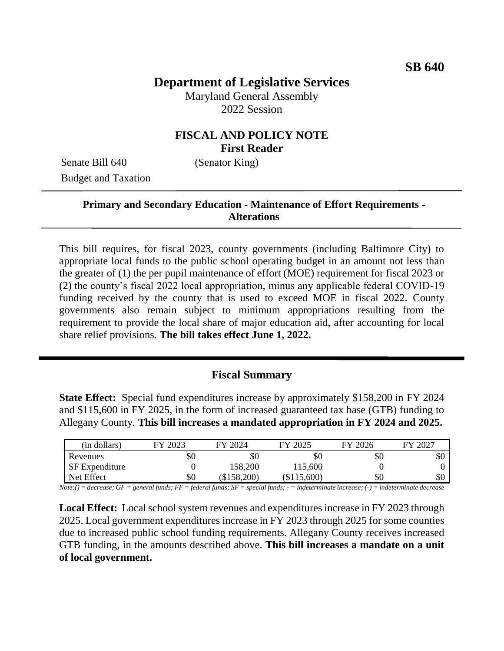# **Department of Legislative Services**

Maryland General Assembly 2022 Session

## **FISCAL AND POLICY NOTE First Reader**

Senate Bill 640 (Senator King) Budget and Taxation

### **Primary and Secondary Education - Maintenance of Effort Requirements - Alterations**

This bill requires, for fiscal 2023, county governments (including Baltimore City) to appropriate local funds to the public school operating budget in an amount not less than the greater of (1) the per pupil maintenance of effort (MOE) requirement for fiscal 2023 or (2) the county's fiscal 2022 local appropriation, minus any applicable federal COVID-19 funding received by the county that is used to exceed MOE in fiscal 2022. County governments also remain subject to minimum appropriations resulting from the requirement to provide the local share of major education aid, after accounting for local share relief provisions. **The bill takes effect June 1, 2022.**

#### **Fiscal Summary**

**State Effect:** Special fund expenditures increase by approximately \$158,200 in FY 2024 and \$115,600 in FY 2025, in the form of increased guaranteed tax base (GTB) funding to Allegany County. **This bill increases a mandated appropriation in FY 2024 and 2025.**

| (in dollars)          | FY 2023                   | FY 2024   | FY 2025     | FY 2026 | FY 2027 |
|-----------------------|---------------------------|-----------|-------------|---------|---------|
| Revenues              | 50                        | \$0       | \$0         | \$0     | \$0     |
| <b>SF</b> Expenditure |                           | 158,200   | 115,600     |         |         |
| Net Effect            | \$0                       | \$158,200 | (\$115,600) | \$0     | \$0     |
| $-$<br>.              | .<br>$-$<br>$\sim$ $\sim$ | .<br>___  | .           | .       |         |

*Note:() = decrease; GF = general funds; FF = federal funds; SF = special funds; - = indeterminate increase; (-) = indeterminate decrease*

**Local Effect:** Local school system revenues and expenditures increase in FY 2023 through 2025. Local government expenditures increase in FY 2023 through 2025 for some counties due to increased public school funding requirements. Allegany County receives increased GTB funding, in the amounts described above. **This bill increases a mandate on a unit of local government.**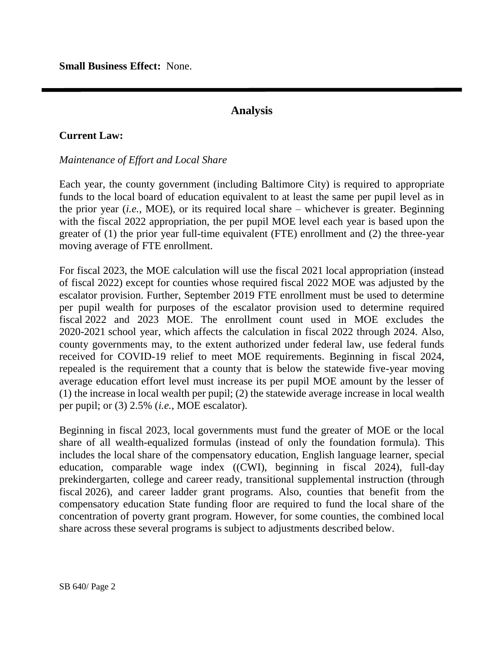**Small Business Effect:** None.

### **Analysis**

### **Current Law:**

#### *Maintenance of Effort and Local Share*

Each year, the county government (including Baltimore City) is required to appropriate funds to the local board of education equivalent to at least the same per pupil level as in the prior year (*i.e.*, MOE), or its required local share – whichever is greater. Beginning with the fiscal 2022 appropriation, the per pupil MOE level each year is based upon the greater of (1) the prior year full-time equivalent (FTE) enrollment and (2) the three-year moving average of FTE enrollment.

For fiscal 2023, the MOE calculation will use the fiscal 2021 local appropriation (instead of fiscal 2022) except for counties whose required fiscal 2022 MOE was adjusted by the escalator provision. Further, September 2019 FTE enrollment must be used to determine per pupil wealth for purposes of the escalator provision used to determine required fiscal 2022 and 2023 MOE. The enrollment count used in MOE excludes the 2020-2021 school year, which affects the calculation in fiscal 2022 through 2024. Also, county governments may, to the extent authorized under federal law, use federal funds received for COVID-19 relief to meet MOE requirements. Beginning in fiscal 2024, repealed is the requirement that a county that is below the statewide five-year moving average education effort level must increase its per pupil MOE amount by the lesser of (1) the increase in local wealth per pupil; (2) the statewide average increase in local wealth per pupil; or (3) 2.5% (*i.e.*, MOE escalator).

Beginning in fiscal 2023, local governments must fund the greater of MOE or the local share of all wealth-equalized formulas (instead of only the foundation formula). This includes the local share of the compensatory education, English language learner, special education, comparable wage index ((CWI), beginning in fiscal 2024), full-day prekindergarten, college and career ready, transitional supplemental instruction (through fiscal 2026), and career ladder grant programs. Also, counties that benefit from the compensatory education State funding floor are required to fund the local share of the concentration of poverty grant program. However, for some counties, the combined local share across these several programs is subject to adjustments described below.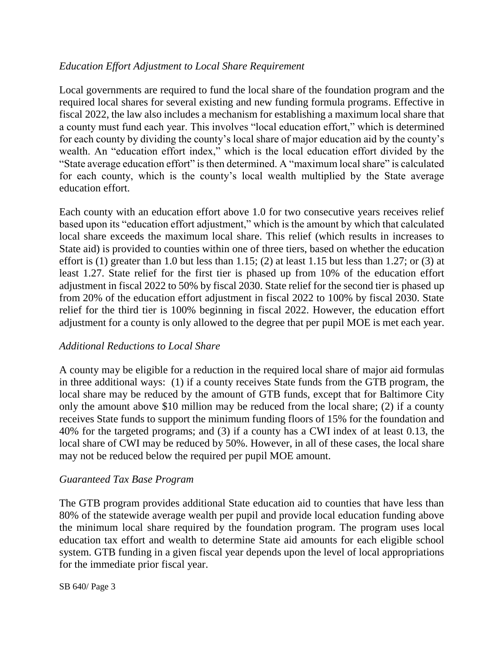### *Education Effort Adjustment to Local Share Requirement*

Local governments are required to fund the local share of the foundation program and the required local shares for several existing and new funding formula programs. Effective in fiscal 2022, the law also includes a mechanism for establishing a maximum local share that a county must fund each year. This involves "local education effort," which is determined for each county by dividing the county's local share of major education aid by the county's wealth. An "education effort index," which is the local education effort divided by the "State average education effort" is then determined. A "maximum local share" is calculated for each county, which is the county's local wealth multiplied by the State average education effort.

Each county with an education effort above 1.0 for two consecutive years receives relief based upon its "education effort adjustment," which is the amount by which that calculated local share exceeds the maximum local share. This relief (which results in increases to State aid) is provided to counties within one of three tiers, based on whether the education effort is (1) greater than 1.0 but less than 1.15; (2) at least 1.15 but less than 1.27; or (3) at least 1.27. State relief for the first tier is phased up from 10% of the education effort adjustment in fiscal 2022 to 50% by fiscal 2030. State relief for the second tier is phased up from 20% of the education effort adjustment in fiscal 2022 to 100% by fiscal 2030. State relief for the third tier is 100% beginning in fiscal 2022. However, the education effort adjustment for a county is only allowed to the degree that per pupil MOE is met each year.

#### *Additional Reductions to Local Share*

A county may be eligible for a reduction in the required local share of major aid formulas in three additional ways: (1) if a county receives State funds from the GTB program, the local share may be reduced by the amount of GTB funds, except that for Baltimore City only the amount above \$10 million may be reduced from the local share; (2) if a county receives State funds to support the minimum funding floors of 15% for the foundation and 40% for the targeted programs; and (3) if a county has a CWI index of at least 0.13, the local share of CWI may be reduced by 50%. However, in all of these cases, the local share may not be reduced below the required per pupil MOE amount.

#### *Guaranteed Tax Base Program*

The GTB program provides additional State education aid to counties that have less than 80% of the statewide average wealth per pupil and provide local education funding above the minimum local share required by the foundation program. The program uses local education tax effort and wealth to determine State aid amounts for each eligible school system. GTB funding in a given fiscal year depends upon the level of local appropriations for the immediate prior fiscal year.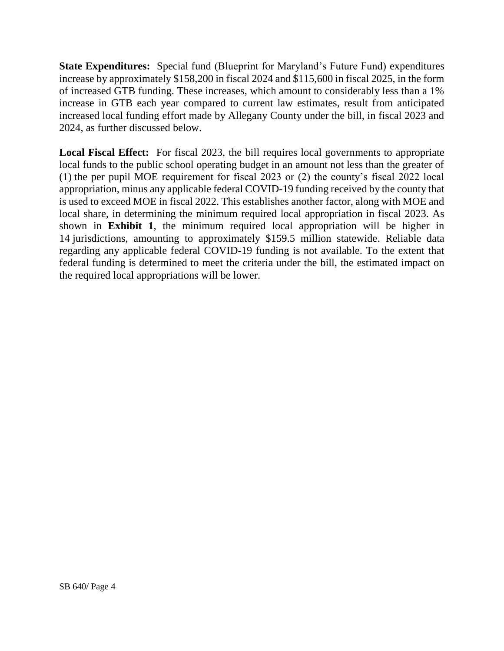**State Expenditures:** Special fund (Blueprint for Maryland's Future Fund) expenditures increase by approximately \$158,200 in fiscal 2024 and \$115,600 in fiscal 2025, in the form of increased GTB funding. These increases, which amount to considerably less than a 1% increase in GTB each year compared to current law estimates, result from anticipated increased local funding effort made by Allegany County under the bill, in fiscal 2023 and 2024, as further discussed below.

**Local Fiscal Effect:** For fiscal 2023, the bill requires local governments to appropriate local funds to the public school operating budget in an amount not less than the greater of (1) the per pupil MOE requirement for fiscal 2023 or (2) the county's fiscal 2022 local appropriation, minus any applicable federal COVID-19 funding received by the county that is used to exceed MOE in fiscal 2022. This establishes another factor, along with MOE and local share, in determining the minimum required local appropriation in fiscal 2023. As shown in **Exhibit 1**, the minimum required local appropriation will be higher in 14 jurisdictions, amounting to approximately \$159.5 million statewide. Reliable data regarding any applicable federal COVID-19 funding is not available. To the extent that federal funding is determined to meet the criteria under the bill, the estimated impact on the required local appropriations will be lower.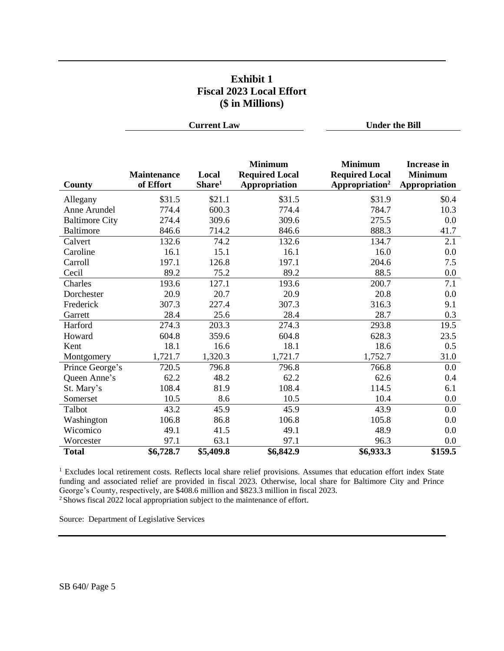### **Exhibit 1 Fiscal 2023 Local Effort (\$ in Millions)**

**Current Law Under the Bill**

| County                | <b>Maintenance</b><br>of Effort | Local<br>Share <sup>1</sup> | <b>Minimum</b><br><b>Required Local</b><br>Appropriation | <b>Minimum</b><br><b>Required Local</b><br>Appropriation <sup>2</sup> | <b>Increase in</b><br><b>Minimum</b><br>Appropriation |
|-----------------------|---------------------------------|-----------------------------|----------------------------------------------------------|-----------------------------------------------------------------------|-------------------------------------------------------|
| Allegany              | \$31.5                          | \$21.1                      | \$31.5                                                   | \$31.9                                                                | \$0.4                                                 |
| Anne Arundel          | 774.4                           | 600.3                       | 774.4                                                    | 784.7                                                                 | 10.3                                                  |
| <b>Baltimore City</b> | 274.4                           | 309.6                       | 309.6                                                    | 275.5                                                                 | 0.0                                                   |
| <b>Baltimore</b>      | 846.6                           | 714.2                       | 846.6                                                    | 888.3                                                                 | 41.7                                                  |
| Calvert               | 132.6                           | 74.2                        | 132.6                                                    | 134.7                                                                 | 2.1                                                   |
| Caroline              | 16.1                            | 15.1                        | 16.1                                                     | 16.0                                                                  | 0.0                                                   |
| Carroll               | 197.1                           | 126.8                       | 197.1                                                    | 204.6                                                                 | 7.5                                                   |
| Cecil                 | 89.2                            | 75.2                        | 89.2                                                     | 88.5                                                                  | 0.0                                                   |
| Charles               | 193.6                           | 127.1                       | 193.6                                                    | 200.7                                                                 | 7.1                                                   |
| Dorchester            | 20.9                            | 20.7                        | 20.9                                                     | 20.8                                                                  | 0.0                                                   |
| Frederick             | 307.3                           | 227.4                       | 307.3                                                    | 316.3                                                                 | 9.1                                                   |
| Garrett               | 28.4                            | 25.6                        | 28.4                                                     | 28.7                                                                  | 0.3                                                   |
| Harford               | 274.3                           | 203.3                       | 274.3                                                    | 293.8                                                                 | 19.5                                                  |
| Howard                | 604.8                           | 359.6                       | 604.8                                                    | 628.3                                                                 | 23.5                                                  |
| Kent                  | 18.1                            | 16.6                        | 18.1                                                     | 18.6                                                                  | 0.5                                                   |
| Montgomery            | 1,721.7                         | 1,320.3                     | 1,721.7                                                  | 1,752.7                                                               | 31.0                                                  |
| Prince George's       | 720.5                           | 796.8                       | 796.8                                                    | 766.8                                                                 | 0.0                                                   |
| Queen Anne's          | 62.2                            | 48.2                        | 62.2                                                     | 62.6                                                                  | 0.4                                                   |
| St. Mary's            | 108.4                           | 81.9                        | 108.4                                                    | 114.5                                                                 | 6.1                                                   |
| Somerset              | 10.5                            | 8.6                         | 10.5                                                     | 10.4                                                                  | 0.0                                                   |
| Talbot                | 43.2                            | 45.9                        | 45.9                                                     | 43.9                                                                  | 0.0                                                   |
| Washington            | 106.8                           | 86.8                        | 106.8                                                    | 105.8                                                                 | 0.0                                                   |
| Wicomico              | 49.1                            | 41.5                        | 49.1                                                     | 48.9                                                                  | 0.0                                                   |
| Worcester             | 97.1                            | 63.1                        | 97.1                                                     | 96.3                                                                  | 0.0                                                   |
| <b>Total</b>          | \$6,728.7                       | \$5,409.8                   | \$6,842.9                                                | \$6,933.3                                                             | \$159.5                                               |

<sup>1</sup> Excludes local retirement costs. Reflects local share relief provisions. Assumes that education effort index State funding and associated relief are provided in fiscal 2023. Otherwise, local share for Baltimore City and Prince George's County, respectively, are \$408.6 million and \$823.3 million in fiscal 2023.

<sup>2</sup> Shows fiscal 2022 local appropriation subject to the maintenance of effort.

Source: Department of Legislative Services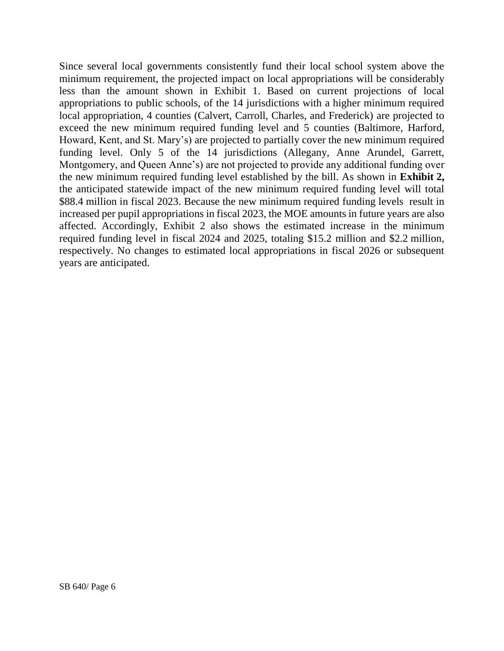Since several local governments consistently fund their local school system above the minimum requirement, the projected impact on local appropriations will be considerably less than the amount shown in Exhibit 1. Based on current projections of local appropriations to public schools, of the 14 jurisdictions with a higher minimum required local appropriation, 4 counties (Calvert, Carroll, Charles, and Frederick) are projected to exceed the new minimum required funding level and 5 counties (Baltimore, Harford, Howard, Kent, and St. Mary's) are projected to partially cover the new minimum required funding level. Only 5 of the 14 jurisdictions (Allegany, Anne Arundel, Garrett, Montgomery, and Queen Anne's) are not projected to provide any additional funding over the new minimum required funding level established by the bill. As shown in **Exhibit 2,** the anticipated statewide impact of the new minimum required funding level will total \$88.4 million in fiscal 2023. Because the new minimum required funding levels result in increased per pupil appropriations in fiscal 2023, the MOE amounts in future years are also affected. Accordingly, Exhibit 2 also shows the estimated increase in the minimum required funding level in fiscal 2024 and 2025, totaling \$15.2 million and \$2.2 million, respectively. No changes to estimated local appropriations in fiscal 2026 or subsequent years are anticipated.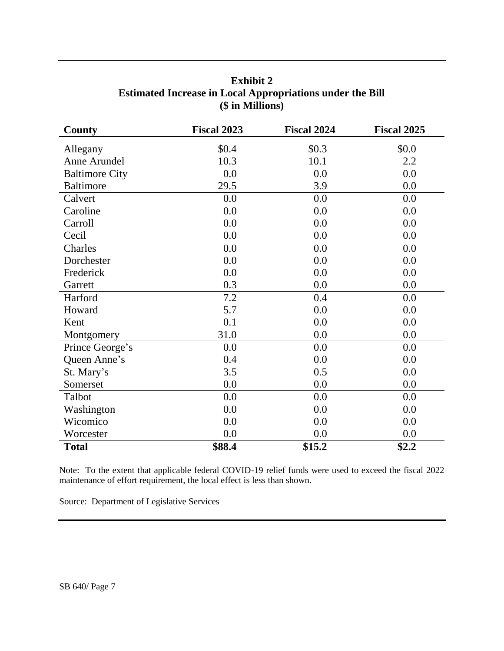| <b>County</b>         | <b>Fiscal 2023</b> | <b>Fiscal 2024</b> | <b>Fiscal 2025</b> |
|-----------------------|--------------------|--------------------|--------------------|
| Allegany              | \$0.4              | \$0.3\$            | \$0.0              |
| Anne Arundel          | 10.3               | 10.1               | 2.2                |
| <b>Baltimore City</b> | 0.0                | 0.0                | 0.0                |
| <b>Baltimore</b>      | 29.5               | 3.9                | 0.0                |
| Calvert               | 0.0                | 0.0                | 0.0                |
| Caroline              | 0.0                | 0.0                | 0.0                |
| Carroll               | 0.0                | 0.0                | 0.0                |
| Cecil                 | 0.0                | 0.0                | 0.0                |
| Charles               | 0.0                | 0.0                | 0.0                |
| Dorchester            | 0.0                | 0.0                | 0.0                |
| Frederick             | 0.0                | 0.0                | 0.0                |
| Garrett               | 0.3                | 0.0                | 0.0                |
| Harford               | 7.2                | 0.4                | 0.0                |
| Howard                | 5.7                | 0.0                | 0.0                |
| Kent                  | 0.1                | 0.0                | 0.0                |
| Montgomery            | 31.0               | 0.0                | 0.0                |
| Prince George's       | 0.0                | 0.0                | 0.0                |
| Queen Anne's          | 0.4                | 0.0                | 0.0                |
| St. Mary's            | 3.5                | 0.5                | 0.0                |
| Somerset              | 0.0                | 0.0                | 0.0                |
| Talbot                | 0.0                | 0.0                | 0.0                |
| Washington            | 0.0                | 0.0                | 0.0                |
| Wicomico              | 0.0                | 0.0                | 0.0                |
| Worcester             | 0.0                | 0.0                | 0.0                |
| <b>Total</b>          | \$88.4             | \$15.2             | \$2.2              |

**Exhibit 2 Estimated Increase in Local Appropriations under the Bill (\$ in Millions)**

Note: To the extent that applicable federal COVID-19 relief funds were used to exceed the fiscal 2022 maintenance of effort requirement, the local effect is less than shown.

Source: Department of Legislative Services